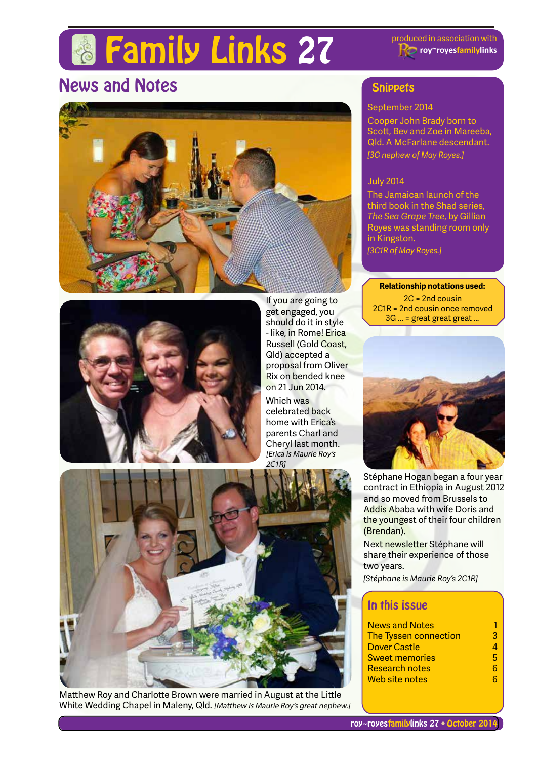# **Family Links 27** Produced in association with

**roy~royesfamilylinks**

# News and Notes





If you are going to get engaged, you should do it in style - like, in Rome! Erica Russell (Gold Coast, Qld) accepted a proposal from Oliver Rix on bended knee on 21 Jun 2014. Which was celebrated back home with Erica's parents Charl and Cheryl last month. [Erica is Maurie Roy's 2C1R]



Matthew Roy and Charlotte Brown were married in August at the Little White Wedding Chapel in Maleny, Qld. [Matthew is Maurie Roy's great nephew.]

### **Snippets**

#### September 2014

Cooper John Brady born to Scott, Bev and Zoe in Mareeba, Qld. A McFarlane descendant. *[3G nephew of May Royes.]*

#### July 2014

The Jamaican launch of the third book in the Shad series, *The Sea Grape Tree*, by Gillian Royes was standing room only in Kingston.

*[3C1R of May Royes.]*

#### **Relationship notations used:**

2C = 2nd cousin 2C1R = 2nd cousin once removed 3G ... = great great great ...



Stéphane Hogan began a four year contract in Ethiopia in August 2012 and so moved from Brussels to Addis Ababa with wife Doris and the youngest of their four children (Brendan).

Next newsletter Stéphane will share their experience of those two years.

*[Stéphane is Maurie Roy's 2C1R]*

### In this issue

| <b>News and Notes</b>        |    |
|------------------------------|----|
| <b>The Tyssen connection</b> | 3  |
| Dover Castle                 |    |
| <b>Sweet memories</b>        | Б, |
| <b>Research notes</b>        |    |
| Web site notes               |    |
|                              |    |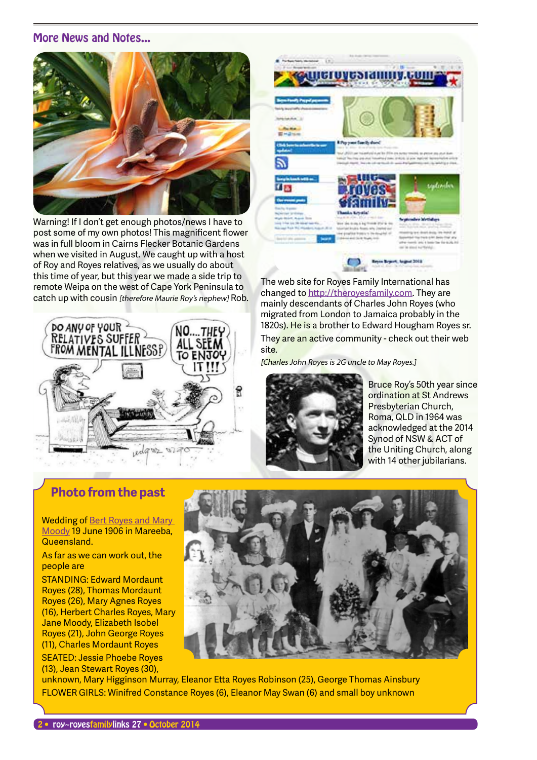#### More News and Notes...



Warning! If I don't get enough photos/news I have to post some of my own photos! This magnificent flower was in full bloom in Cairns Flecker Botanic Gardens when we visited in August. We caught up with a host of Roy and Royes relatives, as we usually do about this time of year, but this year we made a side trip to remote Weipa on the west of Cape York Peninsula to catch up with cousin [therefore Maurie Roy's nephew] Rob.





The web site for Royes Family International has changed to http://theroyesfamily.com. They are mainly descendants of Charles John Royes (who migrated from London to Jamaica probably in the 1820s). He is a brother to Edward Hougham Royes sr.

They are an active community - check out their web site.

[Charles John Royes is 2G uncle to May Royes.]



Bruce Roy's 50th year since ordination at St Andrews Presbyterian Church, Roma, QLD in 1964 was acknowledged at the 2014 Synod of NSW & ACT of the Uniting Church, along with 14 other jubilarians.

### **Photo from the past**

Wedding of Bert Royes and Mary Moody 19 June 1906 in Mareeba, Queensland.

As far as we can work out, the people are

STANDING: Edward Mordaunt Royes (28), Thomas Mordaunt Royes (26), Mary Agnes Royes (16), Herbert Charles Royes, Mary Jane Moody, Elizabeth Isobel Royes (21), John George Royes (11), Charles Mordaunt Royes SEATED: Jessie Phoebe Royes (13), Jean Stewart Royes (30),



unknown, Mary Higginson Murray, Eleanor Etta Royes Robinson (25), George Thomas Ainsbury FLOWER GIRLS: Winifred Constance Royes (6), Eleanor May Swan (6) and small boy unknown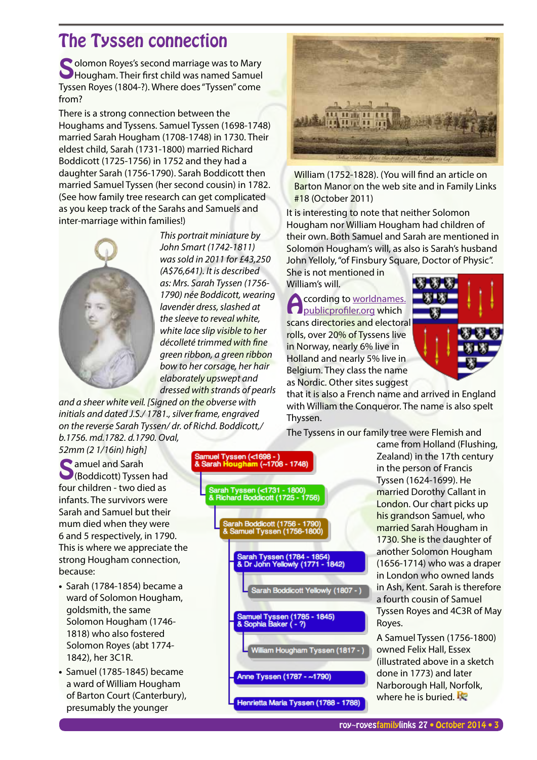### The Tyssen connection

Solomon Royes's second marriage was to Mary<br>Hougham. Their first child was named Samuel Tyssen Royes (1804-?). Where does "Tyssen" come from?

There is a strong connection between the Houghams and Tyssens. Samuel Tyssen (1698-1748) married Sarah Hougham (1708-1748) in 1730. Their eldest child, Sarah (1731-1800) married Richard Boddicott (1725-1756) in 1752 and they had a daughter Sarah (1756-1790). Sarah Boddicott then married Samuel Tyssen (her second cousin) in 1782. (See how family tree research can get complicated as you keep track of the Sarahs and Samuels and inter-marriage within families!)



*This portrait miniature by John Smart (1742-1811) was sold in 2011 for £43,250 (A\$76,641). It is described as: Mrs. Sarah Tyssen (1756- 1790) née Boddicott, wearing lavender dress, slashed at the sleeve to reveal white, white lace slip visible to her décolleté trimmed with fine green ribbon, a green ribbon bow to her corsage, her hair elaborately upswept and dressed with strands of pearls* 

*and a sheer white veil. [Signed on the obverse with initials and dated J.S./ 1781., silver frame, engraved on the reverse Sarah Tyssen/ dr. of Richd. Boddicott,/ b.1756. md.1782. d.1790. Oval,* 

*52mm (2 1/16in) high]* 

**C** amuel and Sarah (Boddicott) Tyssen had four children - two died as infants. The survivors were Sarah and Samuel but their mum died when they were 6 and 5 respectively, in 1790. This is where we appreciate the strong Hougham connection, because:

- Sarah (1784-1854) became a ward of Solomon Hougham, goldsmith, the same Solomon Hougham (1746- 1818) who also fostered Solomon Royes (abt 1774- 1842), her 3C1R.
- Samuel (1785-1845) became a ward of William Hougham of Barton Court (Canterbury), presumably the younger





William (1752-1828). (You will find an article on Barton Manor on the web site and in Family Links #18 (October 2011)

It is interesting to note that neither Solomon Hougham nor William Hougham had children of their own. Both Samuel and Sarah are mentioned in Solomon Hougham's will, as also is Sarah's husband John Yelloly, "of Finsbury Square, Doctor of Physic".

She is not mentioned in William's will.

**According to worldnames.**<br> **Apublicprofiler.org which** scans directories and electoral rolls, over 20% of Tyssens live in Norway, nearly 6% live in Holland and nearly 5% live in Belgium. They class the name as Nordic. Other sites suggest



that it is also a French name and arrived in England with William the Conqueror. The name is also spelt Thyssen.

The Tyssens in our family tree were Flemish and

came from Holland (Flushing, Zealand) in the 17th century in the person of Francis Tyssen (1624-1699). He married Dorothy Callant in London. Our chart picks up his grandson Samuel, who married Sarah Hougham in 1730. She is the daughter of another Solomon Hougham (1656-1714) who was a draper in London who owned lands in Ash, Kent. Sarah is therefore a fourth cousin of Samuel Tyssen Royes and 4C3R of May Royes.

A Samuel Tyssen (1756-1800) owned Felix Hall, Essex (illustrated above in a sketch done in 1773) and later Narborough Hall, Norfolk, where he is buried.  $\mathbf{E}$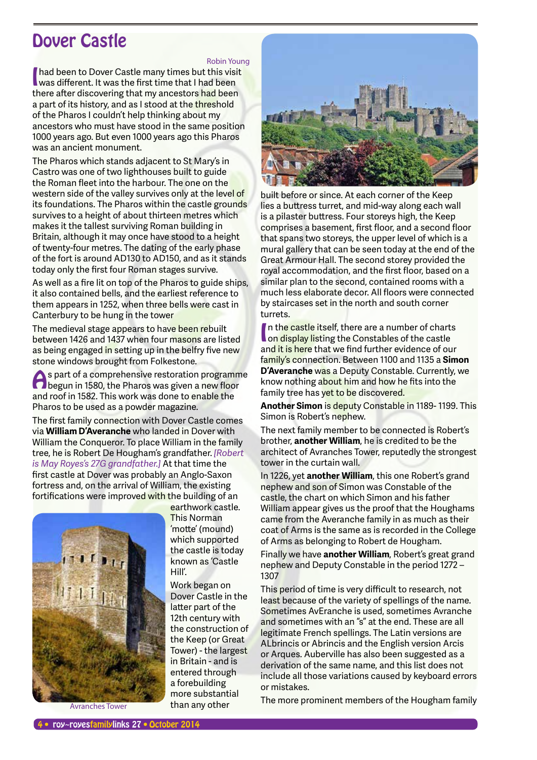### Dover Castle

Robin Young

I had been to Dover Castle many times but this visit<br>was different. It was the first time that I had been had been to Dover Castle many times but this visit there after discovering that my ancestors had been a part of its history, and as I stood at the threshold of the Pharos I couldn't help thinking about my ancestors who must have stood in the same position 1000 years ago. But even 1000 years ago this Pharos was an ancient monument.

The Pharos which stands adjacent to St Mary's in Castro was one of two lighthouses built to guide the Roman fleet into the harbour. The one on the western side of the valley survives only at the level of its foundations. The Pharos within the castle grounds survives to a height of about thirteen metres which makes it the tallest surviving Roman building in Britain, although it may once have stood to a height of twenty-four metres. The dating of the early phase of the fort is around AD130 to AD150, and as it stands today only the first four Roman stages survive.

As well as a fire lit on top of the Pharos to guide ships, it also contained bells, and the earliest reference to them appears in 1252, when three bells were cast in Canterbury to be hung in the tower

The medieval stage appears to have been rebuilt between 1426 and 1437 when four masons are listed as being engaged in setting up in the belfry five new stone windows brought from Folkestone.

As part of a comprehensive restoration programme<br>
begun in 1580, the Pharos was given a new floor and roof in 1582. This work was done to enable the Pharos to be used as a powder magazine.

The first family connection with Dover Castle comes via **William D'Averanche** who landed in Dover with William the Conqueror. To place William in the family tree, he is Robert De Hougham's grandfather. *[Robert is May Royes's 27G grandfather.]* At that time the first castle at Dover was probably an Anglo-Saxon fortress and, on the arrival of William, the existing fortifications were improved with the building of an



earthwork castle. This Norman 'motte' (mound) which supported the castle is today known as 'Castle

Hill'.

Work began on Dover Castle in the latter part of the 12th century with the construction of the Keep (or Great Tower) - the largest in Britain - and is entered through a forebuilding more substantial than any other



built before or since. At each corner of the Keep lies a buttress turret, and mid-way along each wall is a pilaster buttress. Four storeys high, the Keep comprises a basement, first floor, and a second floor that spans two storeys, the upper level of which is a mural gallery that can be seen today at the end of the Great Armour Hall. The second storey provided the royal accommodation, and the first floor, based on a similar plan to the second, contained rooms with a much less elaborate decor. All floors were connected by staircases set in the north and south corner turrets.

In the castle itself, there are a number of chart<br>I on display listing the Constables of the castle In the castle itself, there are a number of charts and it is here that we find further evidence of our family's connection. Between 1100 and 1135 a **Simon D'Averanche** was a Deputy Constable. Currently, we know nothing about him and how he fits into the family tree has yet to be discovered.

**Another Simon** is deputy Constable in 1189- 1199. This Simon is Robert's nephew.

The next family member to be connected is Robert's brother, **another William**, he is credited to be the architect of Avranches Tower, reputedly the strongest tower in the curtain wall.

In 1226, yet **another William**, this one Robert's grand nephew and son of Simon was Constable of the castle, the chart on which Simon and his father William appear gives us the proof that the Houghams came from the Averanche family in as much as their coat of Arms is the same as is recorded in the College of Arms as belonging to Robert de Hougham.

Finally we have **another William**, Robert's great grand nephew and Deputy Constable in the period 1272 – 1307

This period of time is very difficult to research, not least because of the variety of spellings of the name. Sometimes AvEranche is used, sometimes Avranche and sometimes with an "s" at the end. These are all legitimate French spellings. The Latin versions are ALbrincis or Abrincis and the English version Arcis or Arques. Auberville has also been suggested as a derivation of the same name, and this list does not include all those variations caused by keyboard errors or mistakes.

The more prominent members of the Hougham family<br>Avranches Tower than any other The more prominent members of the Hougham family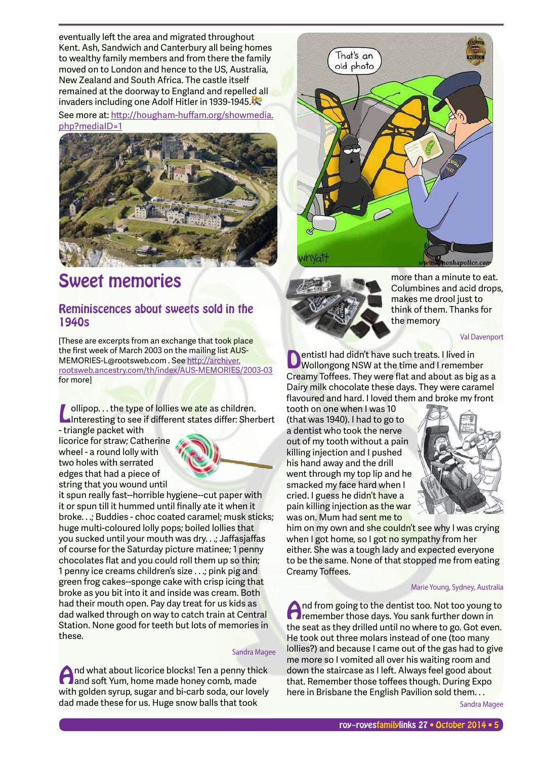eventually left the area and migrated throughout Kent. Ash, Sandwich and Canterbury all being homes to wealthy family members and from there the family moved on to London and hence to the US, Australia, New Zealand and South Africa. The castle itself remained at the doorway to England and repelled all invaders including one Adolf Hitler in 1939-1945.

See more at: http://hougham-huffam.org/showmedia. php?mediaID=1



## Sweet memories

### Reminiscences about sweets sold in the 1940s

[These are excerpts from an exchange that took place] the first week of March 2003 on the mailing list AUS-MEMORIES-L@rootsweb.com . See http://archiver. rootsweb.ancestry.com/th/index/AUS-MEMORIES/2003-03 for more]

Interesting to see if different states differ: Sherbert<br>Interesting to see if different states differ: Sherbert - triangle packet with

licorice for straw; Catherine wheel - a round lolly with two holes with serrated edges that had a piece of string that you wound until



it spun really fast--horrible hygiene--cut paper with it or spun till it hummed until finally ate it when it broke. . .; Buddies - choc coated caramel; musk sticks; huge multi-coloured lolly pops; boiled lollies that you sucked until your mouth was dry. . .; Jaffasjaffas of course for the Saturday picture matinee; 1 penny chocolates flat and you could roll them up so thin; 1 penny ice creams children's size . . .; pink pig and green frog cakes--sponge cake with crisp icing that broke as you bit into it and inside was cream. Both had their mouth open. Pay day treat for us kids as dad walked through on way to catch train at Central Station. None good for teeth but lots of memories in these.

#### Sandra Magee

And what about licorice blocks! Ten a penny thick<br>and soft Yum, home made honey comb, made with golden syrup, sugar and bi-carb soda, our lovely dad made these for us. Huge snow balls that took





more than a minute to eat. Columbines and acid drops, makes me drool just to think of them. Thanks for the memory

Val Davenport

**DentistI had didn't have such treats. I lived in**<br>Wollongong NSW at the time and I remember Creamy Toffees. They were flat and about as big as a Dairy milk chocolate these days. They were caramel flavoured and hard. I loved them and broke my front

tooth on one when I was 10 (that was 1940). I had to go to a dentist who took the nerve out of my tooth without a pain killing injection and I pushed his hand away and the drill went through my top lip and he smacked my face hard when I cried. I guess he didn't have a pain killing injection as the war was on. Mum had sent me to



him on my own and she couldn't see why I was crying when I got home, so I got no sympathy from her either. She was a tough lady and expected everyone to be the same. None of that stopped me from eating Creamy Toffees.

#### Marie Young, Sydney, Australia

And from going to the dentist too. Not too young to remember those days. You sank further down in the seat as they drilled until no where to go. Got even. He took out three molars instead of one (too many lollies?) and because I came out of the gas had to give me more so I vomited all over his waiting room and down the staircase as I left. Always feel good about that. Remember those toffees though. During Expo here in Brisbane the English Pavilion sold them. . .

Sandra Magee